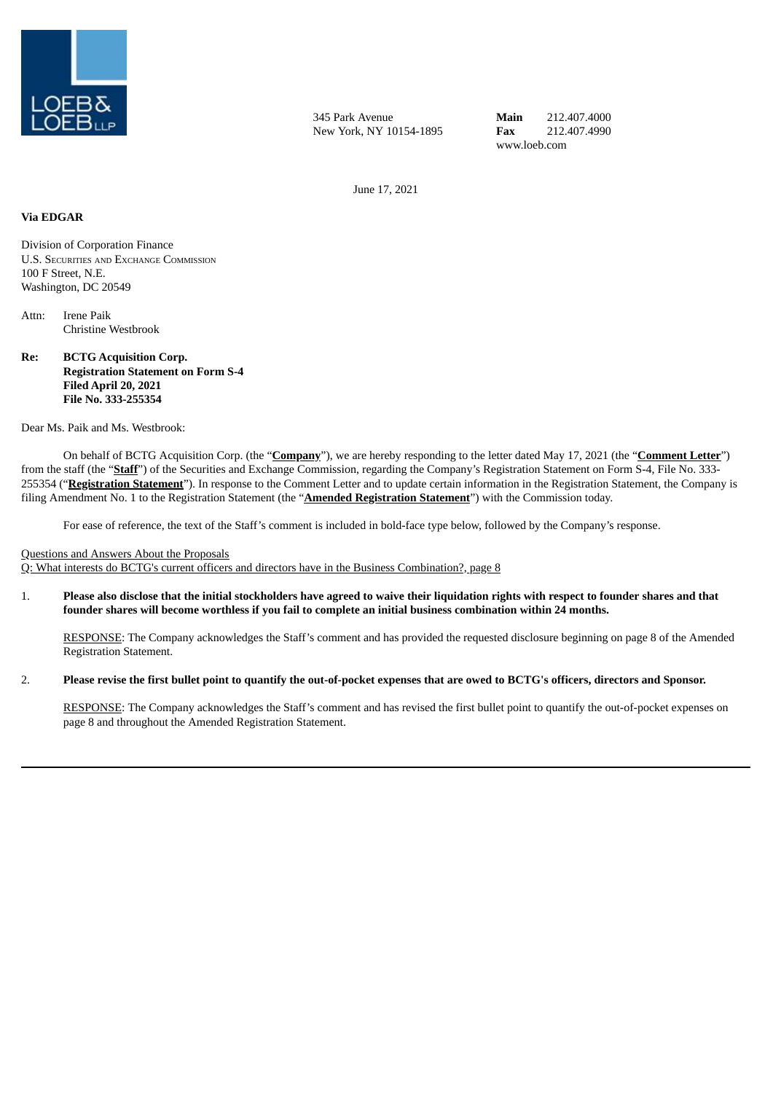

345 Park Avenue New York, NY 10154-1895 **Main Fax** 212.407.4000 212.407.4990 www.loeb.com

June 17, 2021

#### **Via EDGAR**

Division of Corporation Finance U.S. SECURITIES AND EXCHANGE COMMISSION 100 F Street, N.E. Washington, DC 20549

Attn: Irene Paik Christine Westbrook

**Re: BCTG Acquisition Corp. Registration Statement on Form S-4 Filed April 20, 2021 File No. 333-255354**

Dear Ms. Paik and Ms. Westbrook:

On behalf of BCTG Acquisition Corp. (the "**Company**"), we are hereby responding to the letter dated May 17, 2021 (the "**Comment Letter**") from the staff (the "**Staff**") of the Securities and Exchange Commission, regarding the Company's Registration Statement on Form S-4, File No. 333- 255354 ("**Registration Statement**"). In response to the Comment Letter and to update certain information in the Registration Statement, the Company is filing Amendment No. 1 to the Registration Statement (the "**Amended Registration Statement**") with the Commission today.

For ease of reference, the text of the Staff's comment is included in bold-face type below, followed by the Company's response.

# Questions and Answers About the Proposals

Q: What interests do BCTG's current officers and directors have in the Business Combination?, page 8

1. Please also disclose that the initial stockholders have agreed to waive their liquidation rights with respect to founder shares and that founder shares will become worthless if you fail to complete an initial business combination within 24 months.

RESPONSE: The Company acknowledges the Staff's comment and has provided the requested disclosure beginning on page 8 of the Amended Registration Statement.

#### 2. Please revise the first bullet point to quantify the out-of-pocket expenses that are owed to BCTG's officers, directors and Sponsor.

RESPONSE: The Company acknowledges the Staff's comment and has revised the first bullet point to quantify the out-of-pocket expenses on page 8 and throughout the Amended Registration Statement.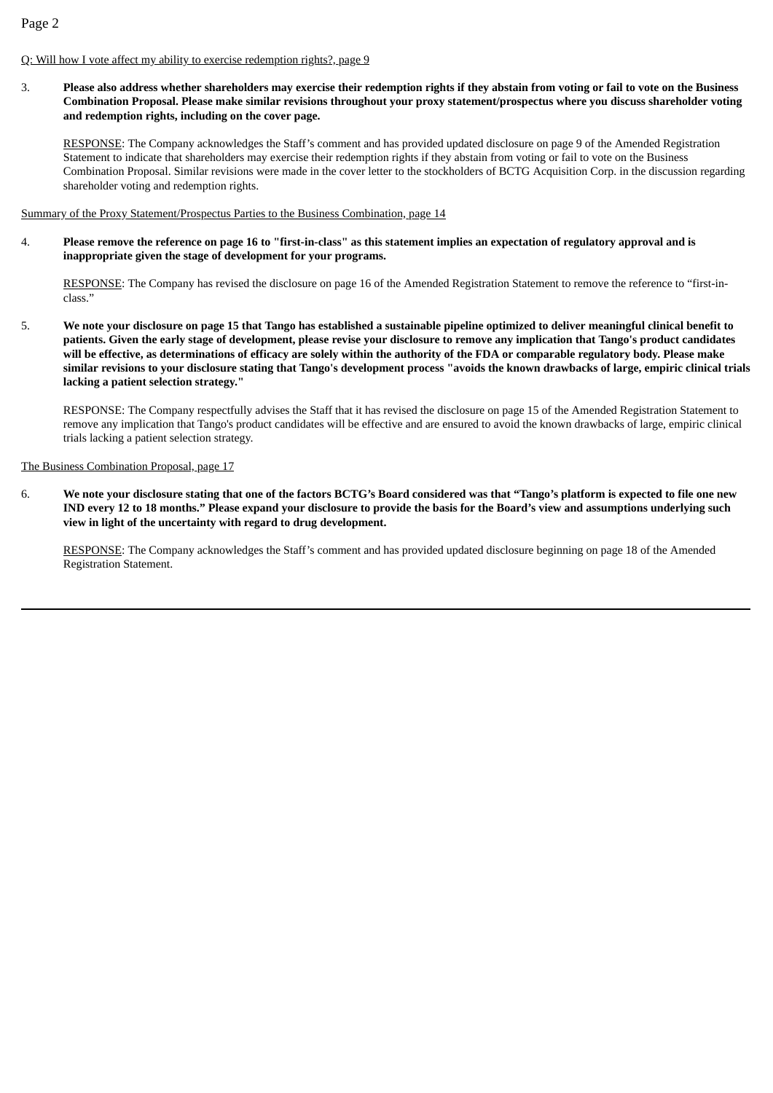# Q: Will how I vote affect my ability to exercise redemption rights?, page 9

3. Please also address whether shareholders may exercise their redemption rights if they abstain from voting or fail to vote on the Business Combination Proposal. Please make similar revisions throughout your proxy statement/prospectus where you discuss shareholder voting **and redemption rights, including on the cover page.**

RESPONSE: The Company acknowledges the Staff's comment and has provided updated disclosure on page 9 of the Amended Registration Statement to indicate that shareholders may exercise their redemption rights if they abstain from voting or fail to vote on the Business Combination Proposal. Similar revisions were made in the cover letter to the stockholders of BCTG Acquisition Corp. in the discussion regarding shareholder voting and redemption rights.

Summary of the Proxy Statement/Prospectus Parties to the Business Combination, page 14

4. Please remove the reference on page 16 to "first-in-class" as this statement implies an expectation of regulatory approval and is **inappropriate given the stage of development for your programs.**

RESPONSE: The Company has revised the disclosure on page 16 of the Amended Registration Statement to remove the reference to "first-inclass."

5. We note your disclosure on page 15 that Tango has established a sustainable pipeline optimized to deliver meaningful clinical benefit to patients. Given the early stage of development, please revise your disclosure to remove any implication that Tango's product candidates will be effective, as determinations of efficacy are solely within the authority of the FDA or comparable regulatory body. Please make similar revisions to your disclosure stating that Tango's development process "avoids the known drawbacks of large, empiric clinical trials **lacking a patient selection strategy."**

RESPONSE: The Company respectfully advises the Staff that it has revised the disclosure on page 15 of the Amended Registration Statement to remove any implication that Tango's product candidates will be effective and are ensured to avoid the known drawbacks of large, empiric clinical trials lacking a patient selection strategy.

The Business Combination Proposal, page 17

6. We note your disclosure stating that one of the factors BCTG's Board considered was that "Tango's platform is expected to file one new IND every 12 to 18 months." Please expand your disclosure to provide the basis for the Board's view and assumptions underlying such **view in light of the uncertainty with regard to drug development.**

RESPONSE: The Company acknowledges the Staff's comment and has provided updated disclosure beginning on page 18 of the Amended Registration Statement.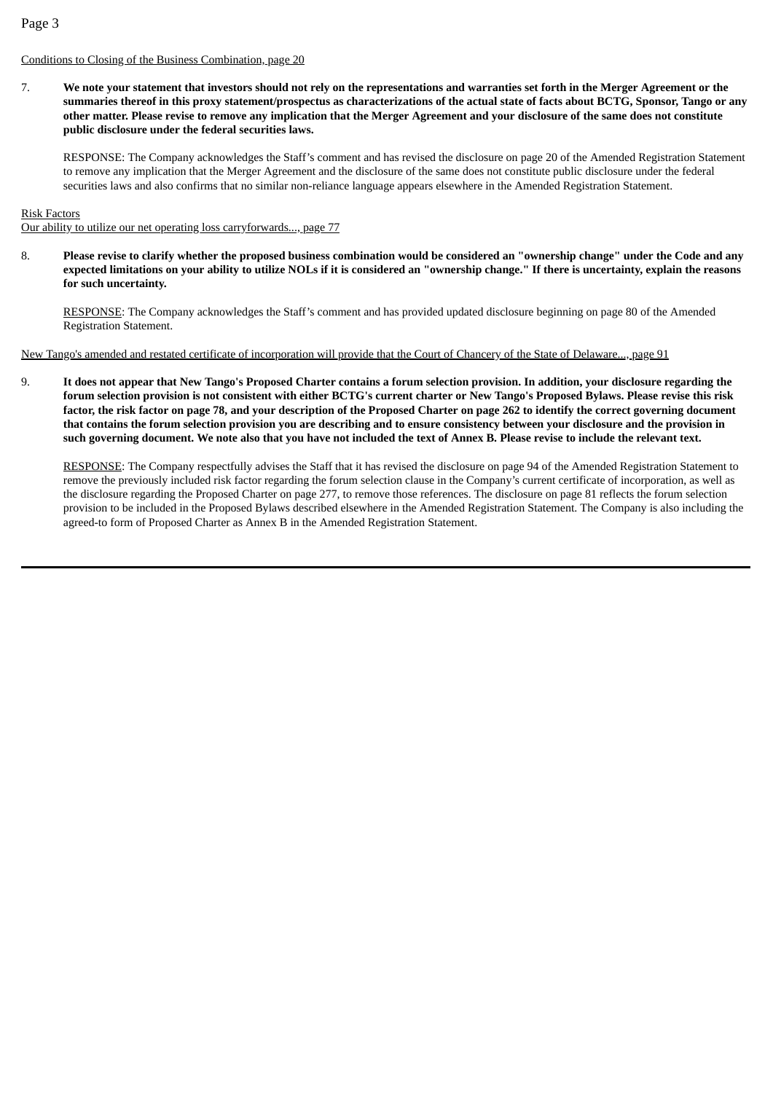# Conditions to Closing of the Business Combination, page 20

7. We note your statement that investors should not rely on the representations and warranties set forth in the Merger Agreement or the summaries thereof in this proxy statement/prospectus as characterizations of the actual state of facts about BCTG, Sponsor, Tango or any other matter. Please revise to remove any implication that the Merger Agreement and your disclosure of the same does not constitute **public disclosure under the federal securities laws.**

RESPONSE: The Company acknowledges the Staff's comment and has revised the disclosure on page 20 of the Amended Registration Statement to remove any implication that the Merger Agreement and the disclosure of the same does not constitute public disclosure under the federal securities laws and also confirms that no similar non-reliance language appears elsewhere in the Amended Registration Statement.

#### Risk Factors

Our ability to utilize our net operating loss carryforwards..., page 77

8. Please revise to clarify whether the proposed business combination would be considered an "ownership change" under the Code and any expected limitations on your ability to utilize NOLs if it is considered an "ownership change." If there is uncertainty, explain the reasons **for such uncertainty.**

RESPONSE: The Company acknowledges the Staff's comment and has provided updated disclosure beginning on page 80 of the Amended Registration Statement.

# New Tango's amended and restated certificate of incorporation will provide that the Court of Chancery of the State of Delaware..., page 91

9. It does not appear that New Tango's Proposed Charter contains a forum selection provision. In addition, your disclosure regarding the forum selection provision is not consistent with either BCTG's current charter or New Tango's Proposed Bylaws. Please revise this risk factor, the risk factor on page 78, and your description of the Proposed Charter on page 262 to identify the correct governing document that contains the forum selection provision you are describing and to ensure consistency between your disclosure and the provision in such governing document. We note also that you have not included the text of Annex B. Please revise to include the relevant text.

RESPONSE: The Company respectfully advises the Staff that it has revised the disclosure on page 94 of the Amended Registration Statement to remove the previously included risk factor regarding the forum selection clause in the Company's current certificate of incorporation, as well as the disclosure regarding the Proposed Charter on page 277, to remove those references. The disclosure on page 81 reflects the forum selection provision to be included in the Proposed Bylaws described elsewhere in the Amended Registration Statement. The Company is also including the agreed-to form of Proposed Charter as Annex B in the Amended Registration Statement.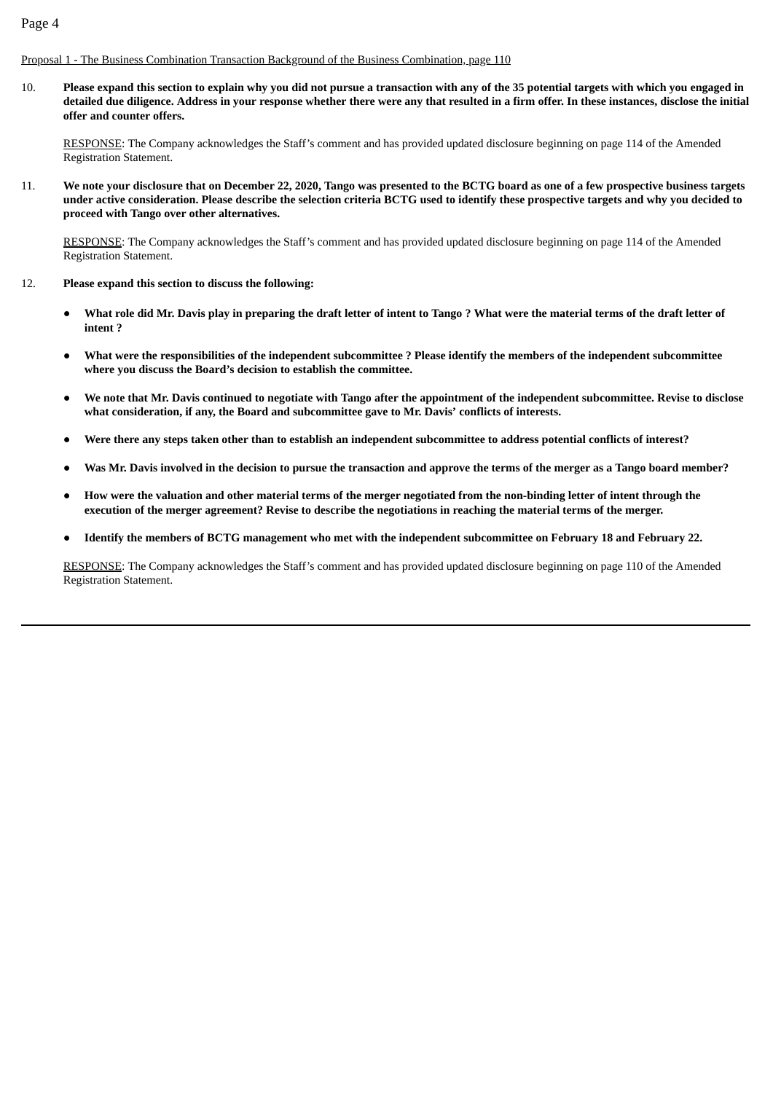# Proposal 1 - The Business Combination Transaction Background of the Business Combination, page 110

10. Please expand this section to explain why you did not pursue a transaction with any of the 35 potential targets with which you engaged in detailed due diligence. Address in your response whether there were any that resulted in a firm offer. In these instances, disclose the initial **offer and counter offers.**

RESPONSE: The Company acknowledges the Staff's comment and has provided updated disclosure beginning on page 114 of the Amended Registration Statement.

11. We note your disclosure that on December 22, 2020, Tango was presented to the BCTG board as one of a few prospective business targets under active consideration. Please describe the selection criteria BCTG used to identify these prospective targets and why you decided to **proceed with Tango over other alternatives.**

RESPONSE: The Company acknowledges the Staff's comment and has provided updated disclosure beginning on page 114 of the Amended Registration Statement.

- 12. **Please expand this section to discuss the following:**
	- What role did Mr. Davis play in preparing the draft letter of intent to Tango? What were the material terms of the draft letter of **intent ?**
	- What were the responsibilities of the independent subcommittee? Please identify the members of the independent subcommittee **where you discuss the Board's decision to establish the committee.**
	- We note that Mr. Davis continued to negotiate with Tango after the appointment of the independent subcommittee. Revise to disclose **what consideration, if any, the Board and subcommittee gave to Mr. Davis' conflicts of interests.**
	- Were there any steps taken other than to establish an independent subcommittee to address potential conflicts of interest?
	- Was Mr. Davis involved in the decision to pursue the transaction and approve the terms of the merger as a Tango board member?
	- How were the valuation and other material terms of the merger negotiated from the non-binding letter of intent through the execution of the merger agreement? Revise to describe the negotiations in reaching the material terms of the merger.
	- Identify the members of BCTG management who met with the independent subcommittee on February 18 and February 22.

RESPONSE: The Company acknowledges the Staff's comment and has provided updated disclosure beginning on page 110 of the Amended Registration Statement.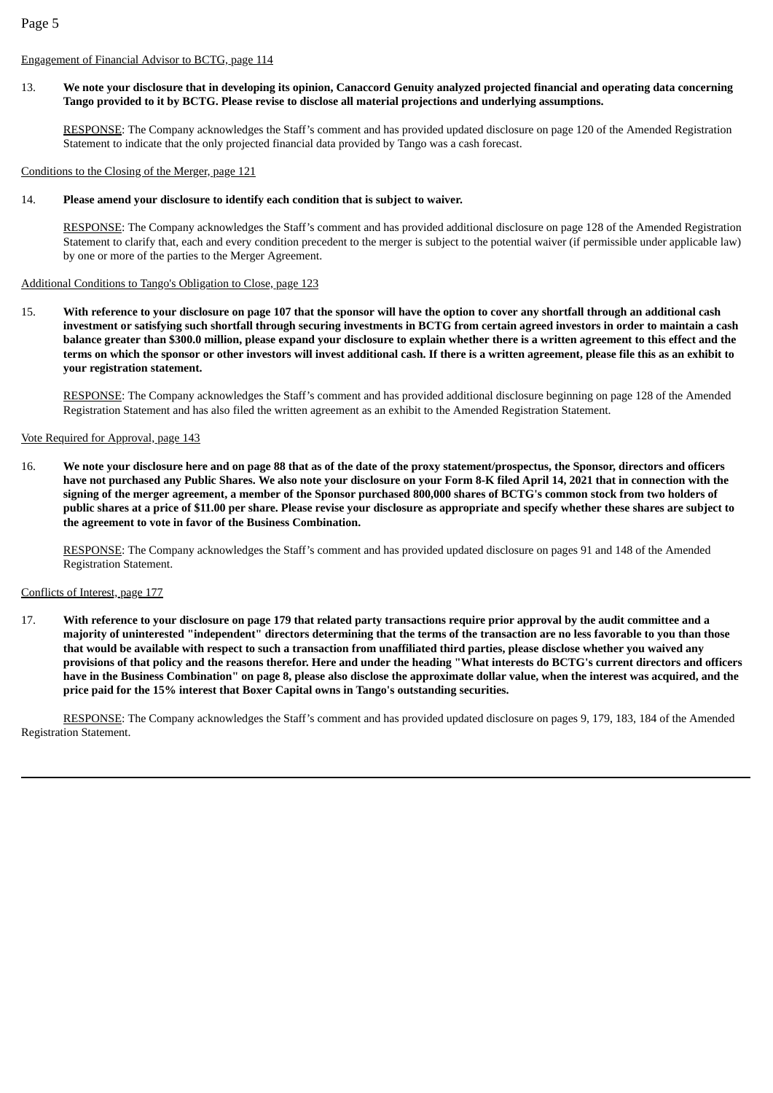# Engagement of Financial Advisor to BCTG, page 114

# 13. We note your disclosure that in developing its opinion, Canaccord Genuity analyzed projected financial and operating data concerning **Tango provided to it by BCTG. Please revise to disclose all material projections and underlying assumptions.**

RESPONSE: The Company acknowledges the Staff's comment and has provided updated disclosure on page 120 of the Amended Registration Statement to indicate that the only projected financial data provided by Tango was a cash forecast.

Conditions to the Closing of the Merger, page 121

# 14. **Please amend your disclosure to identify each condition that is subject to waiver.**

RESPONSE: The Company acknowledges the Staff's comment and has provided additional disclosure on page 128 of the Amended Registration Statement to clarify that, each and every condition precedent to the merger is subject to the potential waiver (if permissible under applicable law) by one or more of the parties to the Merger Agreement.

# Additional Conditions to Tango's Obligation to Close, page 123

15. With reference to your disclosure on page 107 that the sponsor will have the option to cover any shortfall through an additional cash investment or satisfying such shortfall through securing investments in BCTG from certain agreed investors in order to maintain a cash balance greater than \$300.0 million, please expand your disclosure to explain whether there is a written agreement to this effect and the terms on which the sponsor or other investors will invest additional cash. If there is a written agreement, please file this as an exhibit to **your registration statement.**

RESPONSE: The Company acknowledges the Staff's comment and has provided additional disclosure beginning on page 128 of the Amended Registration Statement and has also filed the written agreement as an exhibit to the Amended Registration Statement.

# Vote Required for Approval, page 143

16. We note your disclosure here and on page 88 that as of the date of the proxy statement/prospectus, the Sponsor, directors and officers have not purchased any Public Shares. We also note your disclosure on your Form 8-K filed April 14, 2021 that in connection with the signing of the merger agreement, a member of the Sponsor purchased 800,000 shares of BCTG's common stock from two holders of public shares at a price of \$11.00 per share. Please revise your disclosure as appropriate and specify whether these shares are subject to **the agreement to vote in favor of the Business Combination.**

RESPONSE: The Company acknowledges the Staff's comment and has provided updated disclosure on pages 91 and 148 of the Amended Registration Statement.

# Conflicts of Interest, page 177

17. With reference to your disclosure on page 179 that related party transactions require prior approval by the audit committee and a majority of uninterested "independent" directors determining that the terms of the transaction are no less favorable to you than those that would be available with respect to such a transaction from unaffiliated third parties, please disclose whether you waived any provisions of that policy and the reasons therefor. Here and under the heading "What interests do BCTG's current directors and officers have in the Business Combination" on page 8, please also disclose the approximate dollar value, when the interest was acquired, and the **price paid for the 15% interest that Boxer Capital owns in Tango's outstanding securities.**

RESPONSE: The Company acknowledges the Staff's comment and has provided updated disclosure on pages 9, 179, 183, 184 of the Amended Registration Statement.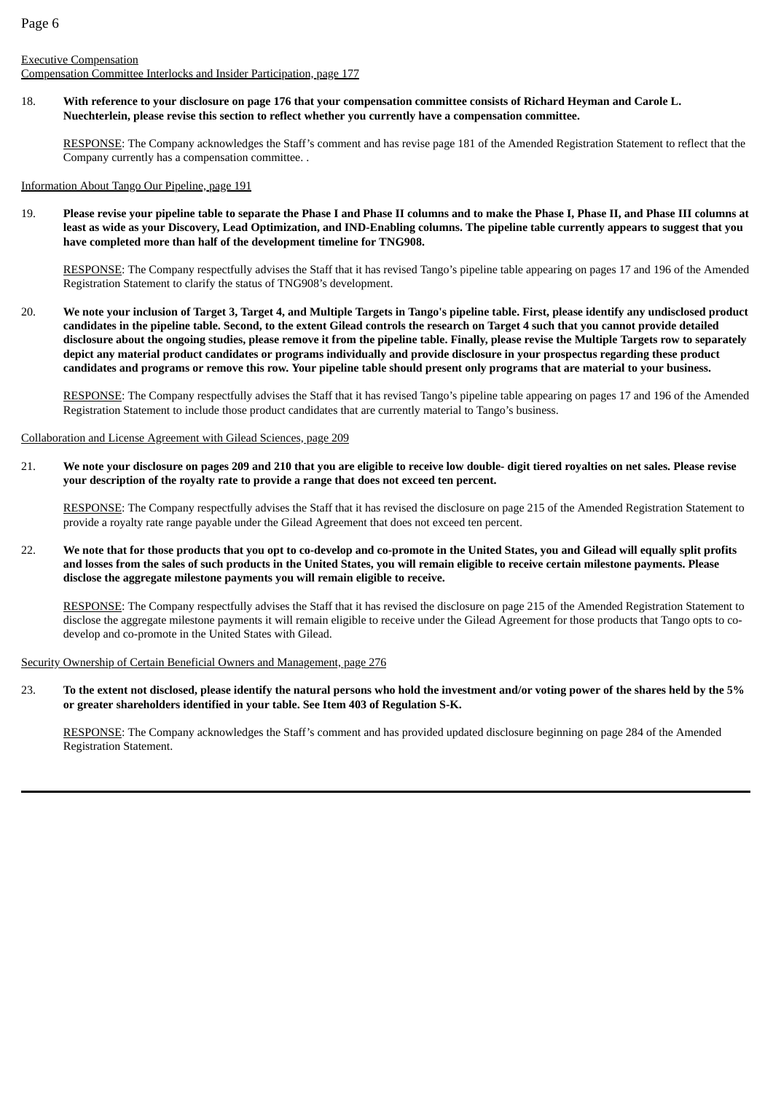# Executive Compensation

Compensation Committee Interlocks and Insider Participation, page 177

18. With reference to your disclosure on page 176 that your compensation committee consists of Richard Heyman and Carole L. **Nuechterlein, please revise this section to reflect whether you currently have a compensation committee.**

RESPONSE: The Company acknowledges the Staff's comment and has revise page 181 of the Amended Registration Statement to reflect that the Company currently has a compensation committee. .

Information About Tango Our Pipeline, page 191

19. Please revise your pipeline table to separate the Phase I and Phase II columns and to make the Phase I, Phase II, and Phase III columns at least as wide as your Discovery, Lead Optimization, and IND-Enabling columns. The pipeline table currently appears to suggest that you **have completed more than half of the development timeline for TNG908.**

RESPONSE: The Company respectfully advises the Staff that it has revised Tango's pipeline table appearing on pages 17 and 196 of the Amended Registration Statement to clarify the status of TNG908's development.

20. We note your inclusion of Target 3, Target 4, and Multiple Targets in Tango's pipeline table. First, please identify any undisclosed product candidates in the pipeline table. Second, to the extent Gilead controls the research on Target 4 such that you cannot provide detailed disclosure about the ongoing studies, please remove it from the pipeline table. Finally, please revise the Multiple Targets row to separately depict any material product candidates or programs individually and provide disclosure in your prospectus regarding these product candidates and programs or remove this row. Your pipeline table should present only programs that are material to your business.

RESPONSE: The Company respectfully advises the Staff that it has revised Tango's pipeline table appearing on pages 17 and 196 of the Amended Registration Statement to include those product candidates that are currently material to Tango's business.

Collaboration and License Agreement with Gilead Sciences, page 209

21. We note your disclosure on pages 209 and 210 that you are eligible to receive low double- digit tiered royalties on net sales. Please revise **your description of the royalty rate to provide a range that does not exceed ten percent.**

RESPONSE: The Company respectfully advises the Staff that it has revised the disclosure on page 215 of the Amended Registration Statement to provide a royalty rate range payable under the Gilead Agreement that does not exceed ten percent.

22. We note that for those products that you opt to co-develop and co-promote in the United States, you and Gilead will equally split profits and losses from the sales of such products in the United States, you will remain eligible to receive certain milestone payments. Please **disclose the aggregate milestone payments you will remain eligible to receive.**

RESPONSE: The Company respectfully advises the Staff that it has revised the disclosure on page 215 of the Amended Registration Statement to disclose the aggregate milestone payments it will remain eligible to receive under the Gilead Agreement for those products that Tango opts to codevelop and co-promote in the United States with Gilead.

Security Ownership of Certain Beneficial Owners and Management, page 276

23. To the extent not disclosed, please identify the natural persons who hold the investment and/or voting power of the shares held by the 5% **or greater shareholders identified in your table. See Item 403 of Regulation S-K.**

RESPONSE: The Company acknowledges the Staff's comment and has provided updated disclosure beginning on page 284 of the Amended Registration Statement.